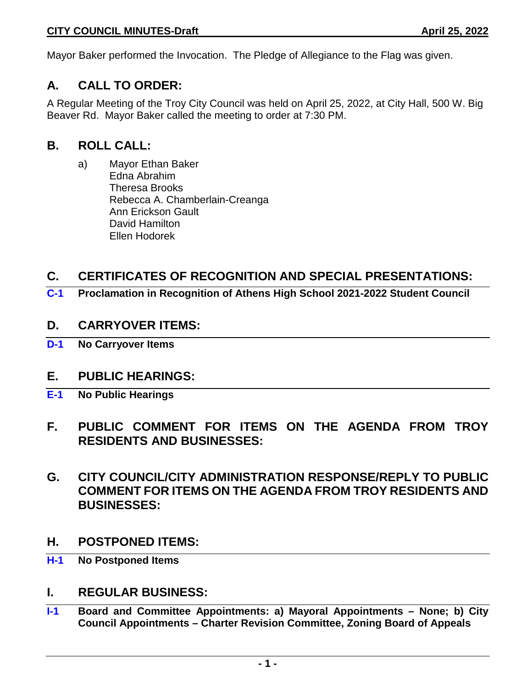Mayor Baker performed the Invocation. The Pledge of Allegiance to the Flag was given.

# **A. CALL TO ORDER:**

A Regular Meeting of the Troy City Council was held on April 25, 2022, at City Hall, 500 W. Big Beaver Rd. Mayor Baker called the meeting to order at 7:30 PM.

## **B. ROLL CALL:**

a) Mayor Ethan Baker Edna Abrahim Theresa Brooks Rebecca A. Chamberlain-Creanga Ann Erickson Gault David Hamilton Ellen Hodorek

# **C. CERTIFICATES OF RECOGNITION AND SPECIAL PRESENTATIONS:**

**C-1 Proclamation in Recognition of Athens High School 2021-2022 Student Council**

## **D. CARRYOVER ITEMS:**

**D-1 No Carryover Items**

# **E. PUBLIC HEARINGS:**

- **E-1 No Public Hearings**
- **F. PUBLIC COMMENT FOR ITEMS ON THE AGENDA FROM TROY RESIDENTS AND BUSINESSES:**
- **G. CITY COUNCIL/CITY ADMINISTRATION RESPONSE/REPLY TO PUBLIC COMMENT FOR ITEMS ON THE AGENDA FROM TROY RESIDENTS AND BUSINESSES:**
- **H. POSTPONED ITEMS:**
- **H-1 No Postponed Items**

## **I. REGULAR BUSINESS:**

**I-1 Board and Committee Appointments: a) Mayoral Appointments – None; b) City Council Appointments – Charter Revision Committee, Zoning Board of Appeals**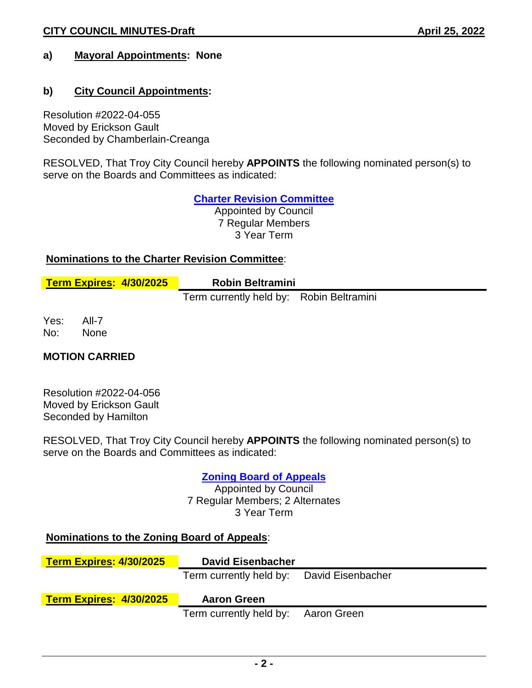## **a) Mayoral Appointments: None**

### **b) City Council Appointments:**

Resolution #2022-04-055 Moved by Erickson Gault Seconded by Chamberlain-Creanga

RESOLVED, That Troy City Council hereby **APPOINTS** the following nominated person(s) to serve on the Boards and Committees as indicated:

**Charter Revision Committee**

Appointed by Council 7 Regular Members 3 Year Term

#### **Nominations to the Charter Revision Committee**:

| Term Expires: 4/30/2025 | <b>Robin Beltramini</b> |
|-------------------------|-------------------------|
|                         |                         |

Term currently held by: Robin Beltramini

Yes: All-7 No: None

#### **MOTION CARRIED**

Resolution #2022-04-056 Moved by Erickson Gault Seconded by Hamilton

RESOLVED, That Troy City Council hereby **APPOINTS** the following nominated person(s) to serve on the Boards and Committees as indicated:

## **Zoning Board of Appeals**

Appointed by Council 7 Regular Members; 2 Alternates 3 Year Term

#### **Nominations to the Zoning Board of Appeals**:

| <b>Term Expires: 4/30/2025</b> | <b>David Eisenbacher</b>                  |  |
|--------------------------------|-------------------------------------------|--|
|                                | Term currently held by: David Eisenbacher |  |
|                                |                                           |  |
| <b>Term Expires: 4/30/2025</b> | <b>Aaron Green</b>                        |  |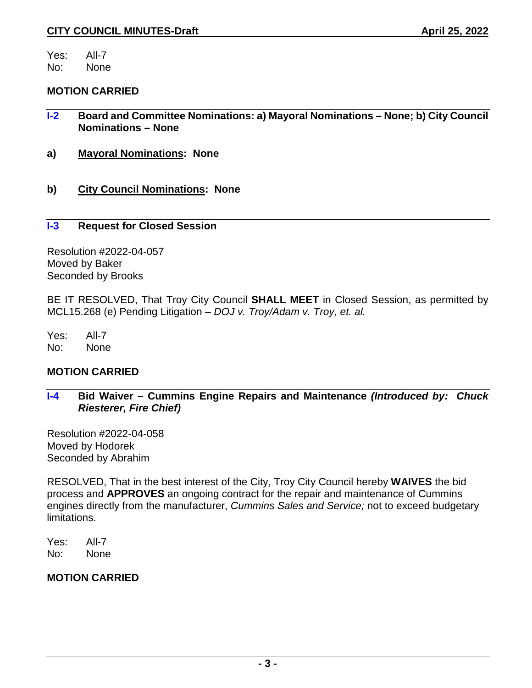Yes: All-7 No: None

**MOTION CARRIED**

- **I-2 Board and Committee Nominations: a) Mayoral Nominations – None; b) City Council Nominations – None**
- **a) Mayoral Nominations: None**
- **b) City Council Nominations: None**

#### **I-3 Request for Closed Session**

Resolution #2022-04-057 Moved by Baker Seconded by Brooks

BE IT RESOLVED, That Troy City Council **SHALL MEET** in Closed Session, as permitted by MCL15.268 (e) Pending Litigation – *DOJ v. Troy/Adam v. Troy, et. al.*

Yes: All-7 No: None

#### **MOTION CARRIED**

**I-4 Bid Waiver – Cummins Engine Repairs and Maintenance** *(Introduced by: Chuck Riesterer, Fire Chief)*

Resolution #2022-04-058 Moved by Hodorek Seconded by Abrahim

RESOLVED, That in the best interest of the City, Troy City Council hereby **WAIVES** the bid process and **APPROVES** an ongoing contract for the repair and maintenance of Cummins engines directly from the manufacturer, *Cummins Sales and Service;* not to exceed budgetary limitations.

Yes: All-7 No: None

#### **MOTION CARRIED**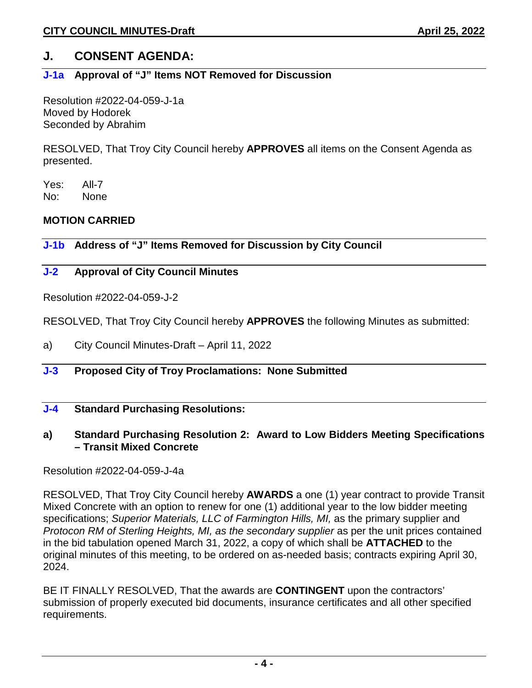## **J. CONSENT AGENDA:**

### **J-1a Approval of "J" Items NOT Removed for Discussion**

Resolution #2022-04-059-J-1a Moved by Hodorek Seconded by Abrahim

RESOLVED, That Troy City Council hereby **APPROVES** all items on the Consent Agenda as presented.

Yes: All-7 No: None

### **MOTION CARRIED**

**J-1b Address of "J" Items Removed for Discussion by City Council** 

### **J-2 Approval of City Council Minutes**

Resolution #2022-04-059-J-2

RESOLVED, That Troy City Council hereby **APPROVES** the following Minutes as submitted:

- a) City Council Minutes-Draft April 11, 2022
- **J-3 Proposed City of Troy Proclamations: None Submitted**
- **J-4 Standard Purchasing Resolutions:**
- **a) Standard Purchasing Resolution 2: Award to Low Bidders Meeting Specifications – Transit Mixed Concrete**

Resolution #2022-04-059-J-4a

RESOLVED, That Troy City Council hereby **AWARDS** a one (1) year contract to provide Transit Mixed Concrete with an option to renew for one (1) additional year to the low bidder meeting specifications; *Superior Materials, LLC of Farmington Hills, MI,* as the primary supplier and *Protocon RM of Sterling Heights, MI, as the secondary supplier* as per the unit prices contained in the bid tabulation opened March 31, 2022, a copy of which shall be **ATTACHED** to the original minutes of this meeting, to be ordered on as-needed basis; contracts expiring April 30, 2024.

BE IT FINALLY RESOLVED, That the awards are **CONTINGENT** upon the contractors' submission of properly executed bid documents, insurance certificates and all other specified requirements.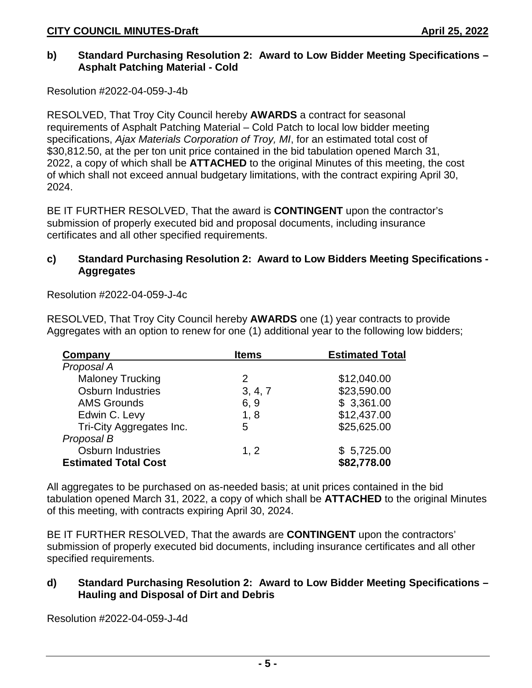#### **b) Standard Purchasing Resolution 2: Award to Low Bidder Meeting Specifications – Asphalt Patching Material - Cold**

Resolution #2022-04-059-J-4b

RESOLVED, That Troy City Council hereby **AWARDS** a contract for seasonal requirements of Asphalt Patching Material – Cold Patch to local low bidder meeting specifications, *Ajax Materials Corporation of Troy, MI*, for an estimated total cost of \$30,812.50, at the per ton unit price contained in the bid tabulation opened March 31, 2022, a copy of which shall be **ATTACHED** to the original Minutes of this meeting, the cost of which shall not exceed annual budgetary limitations, with the contract expiring April 30, 2024.

BE IT FURTHER RESOLVED, That the award is **CONTINGENT** upon the contractor's submission of properly executed bid and proposal documents, including insurance certificates and all other specified requirements.

#### **c) Standard Purchasing Resolution 2: Award to Low Bidders Meeting Specifications - Aggregates**

Resolution #2022-04-059-J-4c

RESOLVED, That Troy City Council hereby **AWARDS** one (1) year contracts to provide Aggregates with an option to renew for one (1) additional year to the following low bidders;

| Company                     | <b>Items</b> | <b>Estimated Total</b> |
|-----------------------------|--------------|------------------------|
| Proposal A                  |              |                        |
| <b>Maloney Trucking</b>     | 2            | \$12,040.00            |
| <b>Osburn Industries</b>    | 3, 4, 7      | \$23,590.00            |
| <b>AMS Grounds</b>          | 6, 9         | \$3,361.00             |
| Edwin C. Levy               | 1, 8         | \$12,437.00            |
| Tri-City Aggregates Inc.    | 5            | \$25,625.00            |
| Proposal B                  |              |                        |
| <b>Osburn Industries</b>    | 1, 2         | \$5,725.00             |
| <b>Estimated Total Cost</b> |              | \$82,778.00            |

All aggregates to be purchased on as-needed basis; at unit prices contained in the bid tabulation opened March 31, 2022, a copy of which shall be **ATTACHED** to the original Minutes of this meeting, with contracts expiring April 30, 2024.

BE IT FURTHER RESOLVED, That the awards are **CONTINGENT** upon the contractors' submission of properly executed bid documents, including insurance certificates and all other specified requirements.

### **d) Standard Purchasing Resolution 2: Award to Low Bidder Meeting Specifications – Hauling and Disposal of Dirt and Debris**

Resolution #2022-04-059-J-4d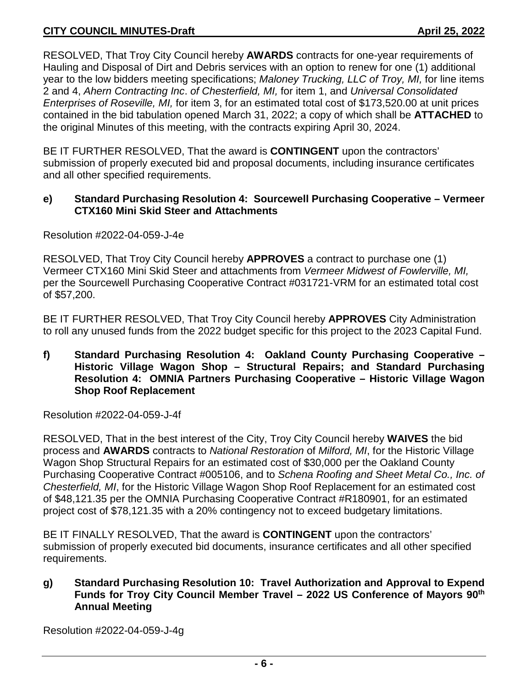RESOLVED, That Troy City Council hereby **AWARDS** contracts for one-year requirements of Hauling and Disposal of Dirt and Debris services with an option to renew for one (1) additional year to the low bidders meeting specifications; *Maloney Trucking, LLC of Troy, MI,* for line items 2 and 4, *Ahern Contracting Inc*. *of Chesterfield, MI,* for item 1, and *Universal Consolidated Enterprises of Roseville, MI,* for item 3, for an estimated total cost of \$173,520.00 at unit prices contained in the bid tabulation opened March 31, 2022; a copy of which shall be **ATTACHED** to the original Minutes of this meeting, with the contracts expiring April 30, 2024.

BE IT FURTHER RESOLVED, That the award is **CONTINGENT** upon the contractors' submission of properly executed bid and proposal documents, including insurance certificates and all other specified requirements.

#### **e) Standard Purchasing Resolution 4: Sourcewell Purchasing Cooperative – Vermeer CTX160 Mini Skid Steer and Attachments**

Resolution #2022-04-059-J-4e

RESOLVED, That Troy City Council hereby **APPROVES** a contract to purchase one (1) Vermeer CTX160 Mini Skid Steer and attachments from *Vermeer Midwest of Fowlerville, MI,*  per the Sourcewell Purchasing Cooperative Contract #031721-VRM for an estimated total cost of \$57,200.

BE IT FURTHER RESOLVED, That Troy City Council hereby **APPROVES** City Administration to roll any unused funds from the 2022 budget specific for this project to the 2023 Capital Fund.

#### **f) Standard Purchasing Resolution 4: Oakland County Purchasing Cooperative – Historic Village Wagon Shop – Structural Repairs; and Standard Purchasing Resolution 4: OMNIA Partners Purchasing Cooperative – Historic Village Wagon Shop Roof Replacement**

Resolution #2022-04-059-J-4f

RESOLVED, That in the best interest of the City, Troy City Council hereby **WAIVES** the bid process and **AWARDS** contracts to *National Restoration* of *Milford, MI*, for the Historic Village Wagon Shop Structural Repairs for an estimated cost of \$30,000 per the Oakland County Purchasing Cooperative Contract #005106, and to *Schena Roofing and Sheet Metal Co., Inc. of Chesterfield, MI*, for the Historic Village Wagon Shop Roof Replacement for an estimated cost of \$48,121.35 per the OMNIA Purchasing Cooperative Contract #R180901, for an estimated project cost of \$78,121.35 with a 20% contingency not to exceed budgetary limitations.

BE IT FINALLY RESOLVED, That the award is **CONTINGENT** upon the contractors' submission of properly executed bid documents, insurance certificates and all other specified requirements.

### **g) Standard Purchasing Resolution 10: Travel Authorization and Approval to Expend Funds for Troy City Council Member Travel – 2022 US Conference of Mayors 90th Annual Meeting**

Resolution #2022-04-059-J-4g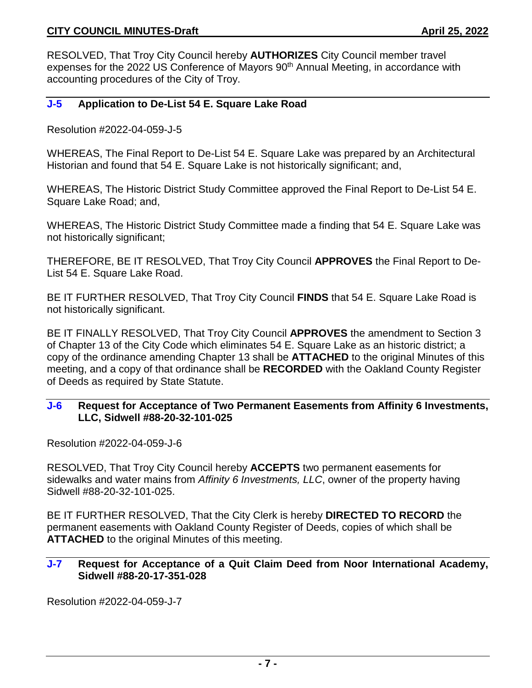RESOLVED, That Troy City Council hereby **AUTHORIZES** City Council member travel expenses for the 2022 US Conference of Mayors 90<sup>th</sup> Annual Meeting, in accordance with accounting procedures of the City of Troy.

#### **J-5 Application to De-List 54 E. Square Lake Road**

Resolution #2022-04-059-J-5

WHEREAS, The Final Report to De-List 54 E. Square Lake was prepared by an Architectural Historian and found that 54 E. Square Lake is not historically significant; and,

WHEREAS, The Historic District Study Committee approved the Final Report to De-List 54 E. Square Lake Road; and,

WHEREAS, The Historic District Study Committee made a finding that 54 E. Square Lake was not historically significant;

THEREFORE, BE IT RESOLVED, That Troy City Council **APPROVES** the Final Report to De-List 54 E. Square Lake Road.

BE IT FURTHER RESOLVED, That Troy City Council **FINDS** that 54 E. Square Lake Road is not historically significant.

BE IT FINALLY RESOLVED, That Troy City Council **APPROVES** the amendment to Section 3 of Chapter 13 of the City Code which eliminates 54 E. Square Lake as an historic district; a copy of the ordinance amending Chapter 13 shall be **ATTACHED** to the original Minutes of this meeting, and a copy of that ordinance shall be **RECORDED** with the Oakland County Register of Deeds as required by State Statute.

#### **J-6 Request for Acceptance of Two Permanent Easements from Affinity 6 Investments, LLC, Sidwell #88-20-32-101-025**

Resolution #2022-04-059-J-6

RESOLVED, That Troy City Council hereby **ACCEPTS** two permanent easements for sidewalks and water mains from *Affinity 6 Investments, LLC*, owner of the property having Sidwell #88-20-32-101-025.

BE IT FURTHER RESOLVED, That the City Clerk is hereby **DIRECTED TO RECORD** the permanent easements with Oakland County Register of Deeds, copies of which shall be **ATTACHED** to the original Minutes of this meeting.

#### **J-7 Request for Acceptance of a Quit Claim Deed from Noor International Academy, Sidwell #88-20-17-351-028**

Resolution #2022-04-059-J-7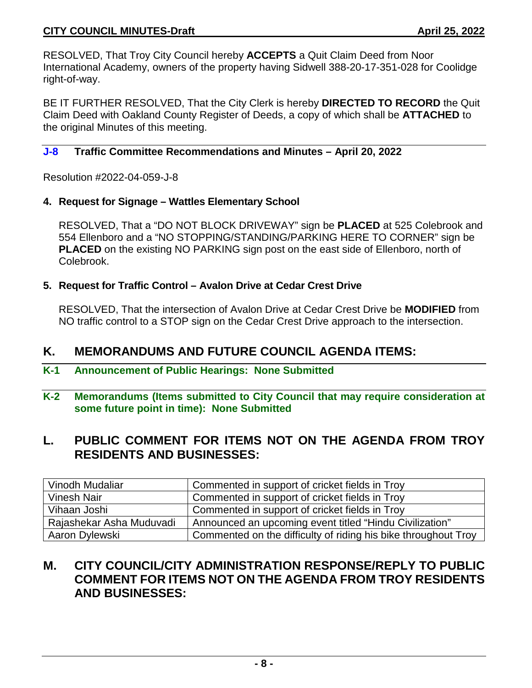### **CITY COUNCIL MINUTES-Draft April 25, 2022**

RESOLVED, That Troy City Council hereby **ACCEPTS** a Quit Claim Deed from Noor International Academy, owners of the property having Sidwell 388-20-17-351-028 for Coolidge right-of-way.

BE IT FURTHER RESOLVED, That the City Clerk is hereby **DIRECTED TO RECORD** the Quit Claim Deed with Oakland County Register of Deeds, a copy of which shall be **ATTACHED** to the original Minutes of this meeting.

#### **J-8 Traffic Committee Recommendations and Minutes – April 20, 2022**

Resolution #2022-04-059-J-8

#### **4. Request for Signage – Wattles Elementary School**

RESOLVED, That a "DO NOT BLOCK DRIVEWAY" sign be **PLACED** at 525 Colebrook and 554 Ellenboro and a "NO STOPPING/STANDING/PARKING HERE TO CORNER" sign be **PLACED** on the existing NO PARKING sign post on the east side of Ellenboro, north of Colebrook.

#### **5. Request for Traffic Control – Avalon Drive at Cedar Crest Drive**

RESOLVED, That the intersection of Avalon Drive at Cedar Crest Drive be **MODIFIED** from NO traffic control to a STOP sign on the Cedar Crest Drive approach to the intersection.

## **K. MEMORANDUMS AND FUTURE COUNCIL AGENDA ITEMS:**

- **K-1 Announcement of Public Hearings: None Submitted**
- **K-2 Memorandums (Items submitted to City Council that may require consideration at some future point in time): None Submitted**

## **L. PUBLIC COMMENT FOR ITEMS NOT ON THE AGENDA FROM TROY RESIDENTS AND BUSINESSES:**

| Vinodh Mudaliar          | Commented in support of cricket fields in Troy                 |
|--------------------------|----------------------------------------------------------------|
| <b>Vinesh Nair</b>       | Commented in support of cricket fields in Troy                 |
| Vihaan Joshi             | Commented in support of cricket fields in Troy                 |
| Rajashekar Asha Muduvadi | Announced an upcoming event titled "Hindu Civilization"        |
| Aaron Dylewski           | Commented on the difficulty of riding his bike throughout Troy |

# **M. CITY COUNCIL/CITY ADMINISTRATION RESPONSE/REPLY TO PUBLIC COMMENT FOR ITEMS NOT ON THE AGENDA FROM TROY RESIDENTS AND BUSINESSES:**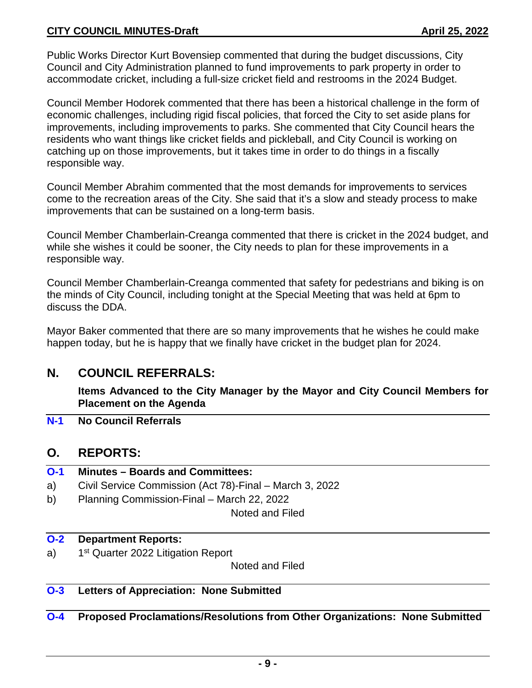### **CITY COUNCIL MINUTES-Draft April 25, 2022**

Public Works Director Kurt Bovensiep commented that during the budget discussions, City Council and City Administration planned to fund improvements to park property in order to accommodate cricket, including a full-size cricket field and restrooms in the 2024 Budget.

Council Member Hodorek commented that there has been a historical challenge in the form of economic challenges, including rigid fiscal policies, that forced the City to set aside plans for improvements, including improvements to parks. She commented that City Council hears the residents who want things like cricket fields and pickleball, and City Council is working on catching up on those improvements, but it takes time in order to do things in a fiscally responsible way.

Council Member Abrahim commented that the most demands for improvements to services come to the recreation areas of the City. She said that it's a slow and steady process to make improvements that can be sustained on a long-term basis.

Council Member Chamberlain-Creanga commented that there is cricket in the 2024 budget, and while she wishes it could be sooner, the City needs to plan for these improvements in a responsible way.

Council Member Chamberlain-Creanga commented that safety for pedestrians and biking is on the minds of City Council, including tonight at the Special Meeting that was held at 6pm to discuss the DDA.

Mayor Baker commented that there are so many improvements that he wishes he could make happen today, but he is happy that we finally have cricket in the budget plan for 2024.

## **N. COUNCIL REFERRALS:**

**Items Advanced to the City Manager by the Mayor and City Council Members for Placement on the Agenda**

**N-1 No Council Referrals**

## **O. REPORTS:**

- **O-1 Minutes – Boards and Committees:** a) Civil Service Commission (Act 78)-Final – March 3, 2022
- b) Planning Commission-Final March 22, 2022

Noted and Filed

#### **O-2 Department Reports:**

a) 1<sup>st</sup> Quarter 2022 Litigation Report

Noted and Filed

**O-3 Letters of Appreciation: None Submitted**

**O-4 Proposed Proclamations/Resolutions from Other Organizations: None Submitted**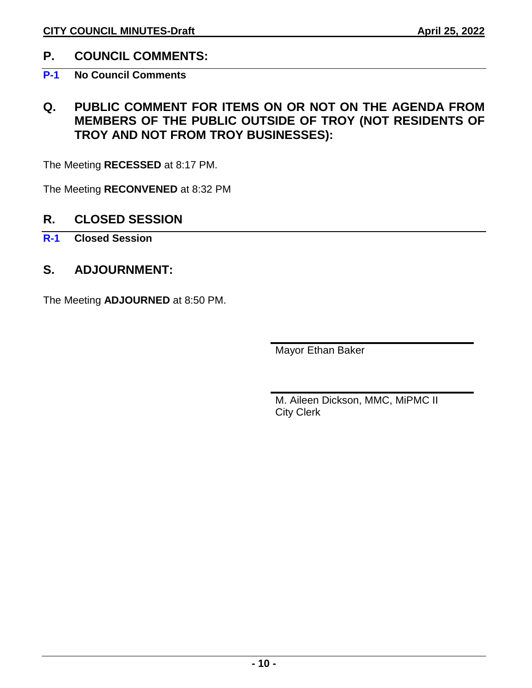# **P. COUNCIL COMMENTS:**

# **P-1 No Council Comments**

# **Q. PUBLIC COMMENT FOR ITEMS ON OR NOT ON THE AGENDA FROM MEMBERS OF THE PUBLIC OUTSIDE OF TROY (NOT RESIDENTS OF TROY AND NOT FROM TROY BUSINESSES):**

The Meeting **RECESSED** at 8:17 PM.

The Meeting **RECONVENED** at 8:32 PM

## **R. CLOSED SESSION**

## **R-1 Closed Session**

# **S. ADJOURNMENT:**

The Meeting **ADJOURNED** at 8:50 PM.

Mayor Ethan Baker

M. Aileen Dickson, MMC, MiPMC II City Clerk